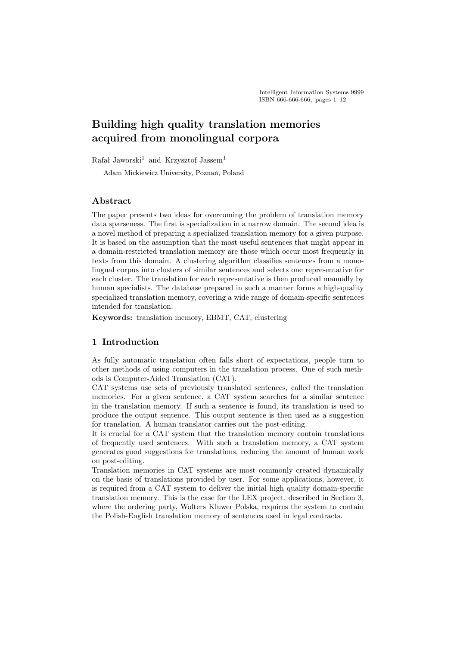# Building high quality translation memories acquired from monolingual corpora

Rafał Jaworski<sup>1</sup> and Krzysztof Jassem<sup>1</sup>

Adam Mickiewicz University, Poznań, Poland

# Abstract

The paper presents two ideas for overcoming the problem of translation memory data sparseness. The first is specialization in a narrow domain. The second idea is a novel method of preparing a specialized translation memory for a given purpose. It is based on the assumption that the most useful sentences that might appear in a domain-restricted translation memory are those which occur most frequently in texts from this domain. A clustering algorithm classifies sentences from a monolingual corpus into clusters of similar sentences and selects one representative for each cluster. The translation for each representative is then produced manually by human specialists. The database prepared in such a manner forms a high-quality specialized translation memory, covering a wide range of domain-specific sentences intended for translation.

Keywords: translation memory, EBMT, CAT, clustering

# 1 Introduction

As fully automatic translation often falls short of expectations, people turn to other methods of using computers in the translation process. One of such methods is Computer-Aided Translation (CAT).

CAT systems use sets of previously translated sentences, called the translation memories. For a given sentence, a CAT system searches for a similar sentence in the translation memory. If such a sentence is found, its translation is used to produce the output sentence. This output sentence is then used as a suggestion for translation. A human translator carries out the post-editing.

It is crucial for a CAT system that the translation memory contain translations of frequently used sentences. With such a translation memory, a CAT system generates good suggestions for translations, reducing the amount of human work on post-editing.

Translation memories in CAT systems are most commonly created dynamically on the basis of translations provided by user. For some applications, however, it is required from a CAT system to deliver the initial high quality domain-specific translation memory. This is the case for the LEX project, described in Section 3, where the ordering party, Wolters Kluwer Polska, requires the system to contain the Polish-English translation memory of sentences used in legal contracts.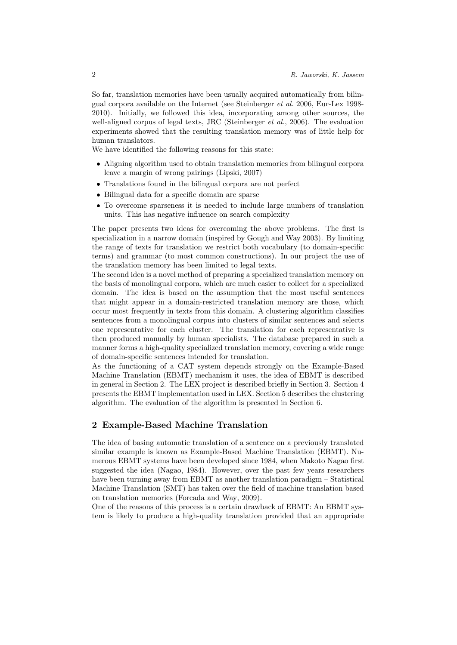So far, translation memories have been usually acquired automatically from bilingual corpora available on the Internet (see Steinberger et al. 2006, Eur-Lex 1998- 2010). Initially, we followed this idea, incorporating among other sources, the well-aligned corpus of legal texts, JRC (Steinberger *et al.*, 2006). The evaluation experiments showed that the resulting translation memory was of little help for human translators.

We have identified the following reasons for this state:

- Aligning algorithm used to obtain translation memories from bilingual corpora leave a margin of wrong pairings (Lipski, 2007)
- Translations found in the bilingual corpora are not perfect
- Bilingual data for a specific domain are sparse
- To overcome sparseness it is needed to include large numbers of translation units. This has negative influence on search complexity

The paper presents two ideas for overcoming the above problems. The first is specialization in a narrow domain (inspired by Gough and Way 2003). By limiting the range of texts for translation we restrict both vocabulary (to domain-specific terms) and grammar (to most common constructions). In our project the use of the translation memory has been limited to legal texts.

The second idea is a novel method of preparing a specialized translation memory on the basis of monolingual corpora, which are much easier to collect for a specialized domain. The idea is based on the assumption that the most useful sentences that might appear in a domain-restricted translation memory are those, which occur most frequently in texts from this domain. A clustering algorithm classifies sentences from a monolingual corpus into clusters of similar sentences and selects one representative for each cluster. The translation for each representative is then produced manually by human specialists. The database prepared in such a manner forms a high-quality specialized translation memory, covering a wide range of domain-specific sentences intended for translation.

As the functioning of a CAT system depends strongly on the Example-Based Machine Translation (EBMT) mechanism it uses, the idea of EBMT is described in general in Section 2. The LEX project is described briefly in Section 3. Section 4 presents the EBMT implementation used in LEX. Section 5 describes the clustering algorithm. The evaluation of the algorithm is presented in Section 6.

### 2 Example-Based Machine Translation

The idea of basing automatic translation of a sentence on a previously translated similar example is known as Example-Based Machine Translation (EBMT). Numerous EBMT systems have been developed since 1984, when Makoto Nagao first suggested the idea (Nagao, 1984). However, over the past few years researchers have been turning away from EBMT as another translation paradigm – Statistical Machine Translation (SMT) has taken over the field of machine translation based on translation memories (Forcada and Way, 2009).

One of the reasons of this process is a certain drawback of EBMT: An EBMT system is likely to produce a high-quality translation provided that an appropriate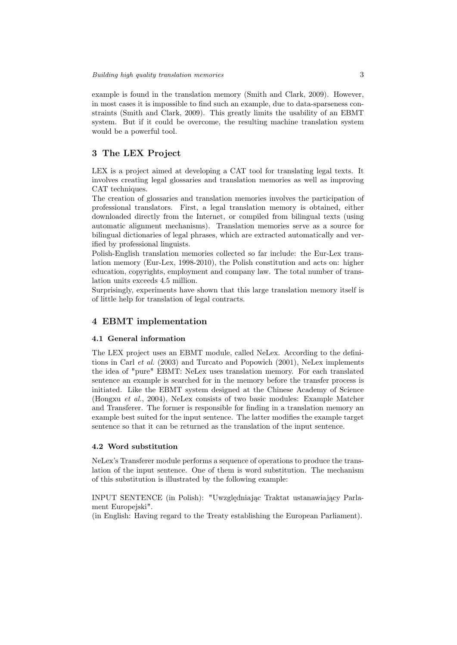example is found in the translation memory (Smith and Clark, 2009). However, in most cases it is impossible to find such an example, due to data-sparseness constraints (Smith and Clark, 2009). This greatly limits the usability of an EBMT system. But if it could be overcome, the resulting machine translation system would be a powerful tool.

# 3 The LEX Project

LEX is a project aimed at developing a CAT tool for translating legal texts. It involves creating legal glossaries and translation memories as well as improving CAT techniques.

The creation of glossaries and translation memories involves the participation of professional translators. First, a legal translation memory is obtained, either downloaded directly from the Internet, or compiled from bilingual texts (using automatic alignment mechanisms). Translation memories serve as a source for bilingual dictionaries of legal phrases, which are extracted automatically and verified by professional linguists.

Polish-English translation memories collected so far include: the Eur-Lex translation memory (Eur-Lex, 1998-2010), the Polish constitution and acts on: higher education, copyrights, employment and company law. The total number of translation units exceeds 4.5 million.

Surprisingly, experiments have shown that this large translation memory itself is of little help for translation of legal contracts.

### 4 EBMT implementation

#### 4.1 General information

The LEX project uses an EBMT module, called NeLex. According to the definitions in Carl et al. (2003) and Turcato and Popowich (2001), NeLex implements the idea of "pure" EBMT: NeLex uses translation memory. For each translated sentence an example is searched for in the memory before the transfer process is initiated. Like the EBMT system designed at the Chinese Academy of Science (Hongxu et al., 2004), NeLex consists of two basic modules: Example Matcher and Transferer. The former is responsible for finding in a translation memory an example best suited for the input sentence. The latter modifies the example target sentence so that it can be returned as the translation of the input sentence.

### 4.2 Word substitution

NeLex's Transferer module performs a sequence of operations to produce the translation of the input sentence. One of them is word substitution. The mechanism of this substitution is illustrated by the following example:

INPUT SENTENCE (in Polish): "Uwzględniając Traktat ustanawiający Parlament Europejski".

(in English: Having regard to the Treaty establishing the European Parliament).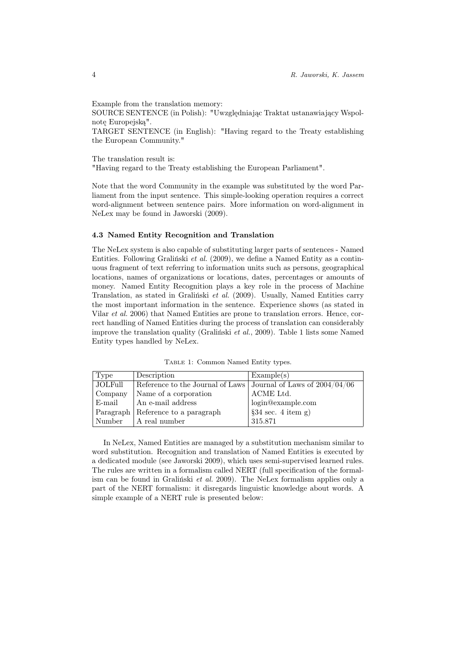Example from the translation memory:

SOURCE SENTENCE (in Polish): "Uwzględniając Traktat ustanawiający Wspolnotę Europejską".

TARGET SENTENCE (in English): "Having regard to the Treaty establishing the European Community."

The translation result is: "Having regard to the Treaty establishing the European Parliament".

Note that the word Community in the example was substituted by the word Parliament from the input sentence. This simple-looking operation requires a correct word-alignment between sentence pairs. More information on word-alignment in NeLex may be found in Jaworski (2009).

#### 4.3 Named Entity Recognition and Translation

The NeLex system is also capable of substituting larger parts of sentences - Named Entities. Following Graliński et al. (2009), we define a Named Entity as a continuous fragment of text referring to information units such as persons, geographical locations, names of organizations or locations, dates, percentages or amounts of money. Named Entity Recognition plays a key role in the process of Machine Translation, as stated in Graliński et al. (2009). Usually, Named Entities carry the most important information in the sentence. Experience shows (as stated in Vilar et al. 2006) that Named Entities are prone to translation errors. Hence, correct handling of Named Entities during the process of translation can considerably improve the translation quality (Graliński et al., 2009). Table 1 lists some Named Entity types handled by NeLex.

| Type    | Description                                                        | Example(s)                             |
|---------|--------------------------------------------------------------------|----------------------------------------|
| JOLFull | Reference to the Journal of Laws   Journal of Laws of $2004/04/06$ |                                        |
| Company | Name of a corporation                                              | ACME Ltd.                              |
| E-mail  | An e-mail address                                                  | login@example.com                      |
|         | Paragraph   Reference to a paragraph                               | $§34 \text{ sec. } 4 \text{ item } g)$ |
| Number  | A real number                                                      | 315.871                                |

Table 1: Common Named Entity types.

In NeLex, Named Entities are managed by a substitution mechanism similar to word substitution. Recognition and translation of Named Entities is executed by a dedicated module (see Jaworski 2009), which uses semi-supervised learned rules. The rules are written in a formalism called NERT (full specification of the formalism can be found in Graliński et al. 2009). The NeLex formalism applies only a part of the NERT formalism: it disregards linguistic knowledge about words. A simple example of a NERT rule is presented below: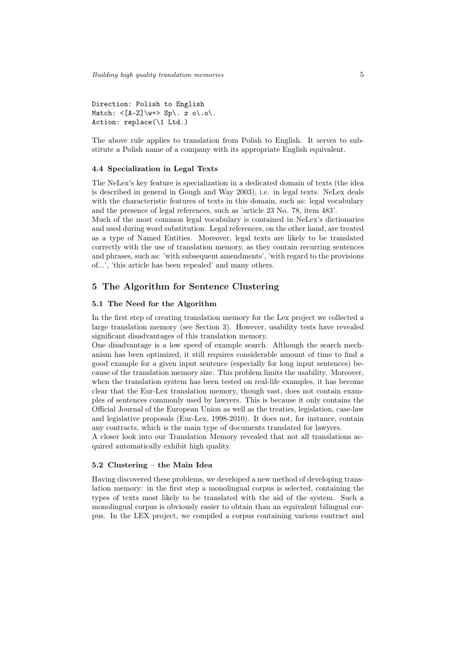Direction: Polish to English Match:  $\langle A-Z] \wedge v \mapsto Sp \langle . z \circ \rangle . o \rangle$ . Action: replace(\1 Ltd.)

The above rule applies to translation from Polish to English. It serves to substitute a Polish name of a company with its appropriate English equivalent.

#### 4.4 Specialization in Legal Texts

The NeLex's key feature is specialization in a dedicated domain of texts (the idea is described in general in Gough and Way 2003), i.e. in legal texts. NeLex deals with the characteristic features of texts in this domain, such as: legal vocabulary and the presence of legal references, such as 'article 23 No. 78, item 483'.

Much of the most common legal vocabulary is contained in NeLex's dictionaries and used during word substitution. Legal references, on the other hand, are treated as a type of Named Entities. Moreover, legal texts are likely to be translated correctly with the use of translation memory, as they contain recurring sentences and phrases, such as: 'with subsequent amendments', 'with regard to the provisions of...', 'this article has been repealed' and many others.

# 5 The Algorithm for Sentence Clustering

### 5.1 The Need for the Algorithm

In the first step of creating translation memory for the Lex project we collected a large translation memory (see Section 3). However, usability tests have revealed significant disadvantages of this translation memory.

One disadvantage is a low speed of example search. Although the search mechanism has been optimized, it still requires considerable amount of time to find a good example for a given input sentence (especially for long input sentences) because of the translation memory size. This problem limits the usability. Moreover, when the translation system has been tested on real-life examples, it has become clear that the Eur-Lex translation memory, though vast, does not contain examples of sentences commonly used by lawyers. This is because it only contains the Official Journal of the European Union as well as the treaties, legislation, case-law and legislative proposals (Eur-Lex, 1998-2010). It does not, for instance, contain any contracts, which is the main type of documents translated for lawyers.

A closer look into our Translation Memory revealed that not all translations acquired automatically exhibit high quality.

# 5.2 Clustering – the Main Idea

Having discovered these problems, we developed a new method of developing translation memory: in the first step a monolingual corpus is selected, containing the types of texts most likely to be translated with the aid of the system. Such a monolingual corpus is obviously easier to obtain than an equivalent bilingual corpus. In the LEX project, we compiled a corpus containing various contract and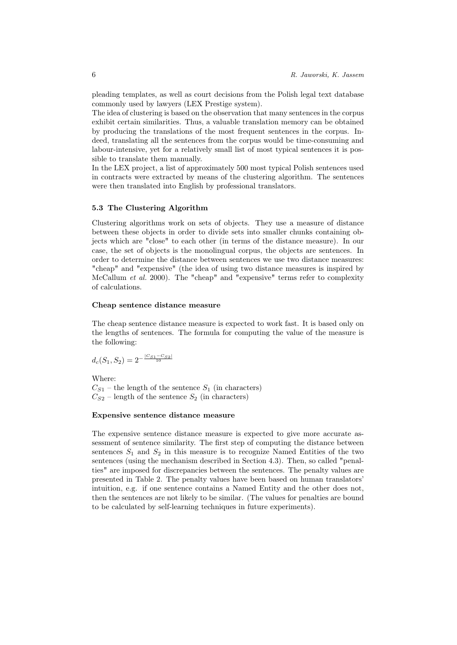pleading templates, as well as court decisions from the Polish legal text database commonly used by lawyers (LEX Prestige system).

The idea of clustering is based on the observation that many sentences in the corpus exhibit certain similarities. Thus, a valuable translation memory can be obtained by producing the translations of the most frequent sentences in the corpus. Indeed, translating all the sentences from the corpus would be time-consuming and labour-intensive, yet for a relatively small list of most typical sentences it is possible to translate them manually.

In the LEX project, a list of approximately 500 most typical Polish sentences used in contracts were extracted by means of the clustering algorithm. The sentences were then translated into English by professional translators.

#### 5.3 The Clustering Algorithm

Clustering algorithms work on sets of objects. They use a measure of distance between these objects in order to divide sets into smaller chunks containing objects which are "close" to each other (in terms of the distance measure). In our case, the set of objects is the monolingual corpus, the objects are sentences. In order to determine the distance between sentences we use two distance measures: "cheap" and "expensive" (the idea of using two distance measures is inspired by McCallum et al. 2000). The "cheap" and "expensive" terms refer to complexity of calculations.

#### Cheap sentence distance measure

The cheap sentence distance measure is expected to work fast. It is based only on the lengths of sentences. The formula for computing the value of the measure is the following:

$$
d_c(S_1, S_2) = 2^{-\frac{|C_{S1} - C_{S2}|}{10}}
$$

Where:  $C_{S1}$  – the length of the sentence  $S_1$  (in characters)  $C_{S2}$  – length of the sentence  $S_2$  (in characters)

#### Expensive sentence distance measure

The expensive sentence distance measure is expected to give more accurate assessment of sentence similarity. The first step of computing the distance between sentences  $S_1$  and  $S_2$  in this measure is to recognize Named Entities of the two sentences (using the mechanism described in Section 4.3). Then, so called "penalties" are imposed for discrepancies between the sentences. The penalty values are presented in Table 2. The penalty values have been based on human translators' intuition, e.g. if one sentence contains a Named Entity and the other does not, then the sentences are not likely to be similar. (The values for penalties are bound to be calculated by self-learning techniques in future experiments).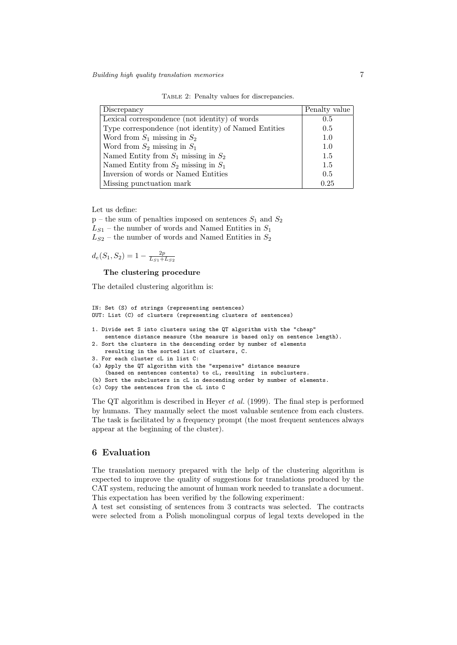Table 2: Penalty values for discrepancies.

| Discrepancy                                          | Penalty value |
|------------------------------------------------------|---------------|
| Lexical correspondence (not identity) of words       | 0.5           |
| Type correspondence (not identity) of Named Entities | 0.5           |
| Word from $S_1$ missing in $S_2$                     | 1.0           |
| Word from $S_2$ missing in $S_1$                     | 1.0           |
| Named Entity from $S_1$ missing in $S_2$             | 1.5           |
| Named Entity from $S_2$ missing in $S_1$             | 1.5           |
| Inversion of words or Named Entities                 | 0.5           |
| Missing punctuation mark                             | 0.25          |

Let us define:

 $p$  – the sum of penalties imposed on sentences  $S_1$  and  $S_2$  $L_{S1}$  – the number of words and Named Entities in  $S_1$  $L_{S2}$  – the number of words and Named Entities in  $S_2$ 

$$
d_e(S_1, S_2) = 1 - \frac{2p}{L_{S1} + L_{S2}}
$$

The clustering procedure

The detailed clustering algorithm is:

```
IN: Set (S) of strings (representing sentences)
OUT: List (C) of clusters (representing clusters of sentences)
1. Divide set S into clusters using the QT algorithm with the "cheap"
    sentence distance measure (the measure is based only on sentence length).
2. Sort the clusters in the descending order by number of elements
   resulting in the sorted list of clusters, C.
3. For each cluster cL in list C:
(a) Apply the QT algorithm with the "expensive" distance measure
    (based on sentences contents) to cL, resulting in subclusters.
(b) Sort the subclusters in cL in descending order by number of elements.
(c) Copy the sentences from the cL into C
```
The QT algorithm is described in Heyer et al. (1999). The final step is performed by humans. They manually select the most valuable sentence from each clusters. The task is facilitated by a frequency prompt (the most frequent sentences always appear at the beginning of the cluster).

# 6 Evaluation

The translation memory prepared with the help of the clustering algorithm is expected to improve the quality of suggestions for translations produced by the CAT system, reducing the amount of human work needed to translate a document. This expectation has been verified by the following experiment:

A test set consisting of sentences from 3 contracts was selected. The contracts were selected from a Polish monolingual corpus of legal texts developed in the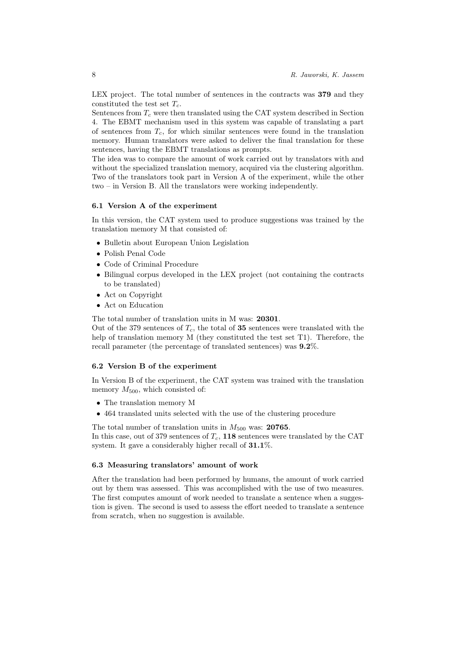LEX project. The total number of sentences in the contracts was 379 and they constituted the test set  $T_c$ .

Sentences from  $T_c$  were then translated using the CAT system described in Section 4. The EBMT mechanism used in this system was capable of translating a part of sentences from  $T_c$ , for which similar sentences were found in the translation memory. Human translators were asked to deliver the final translation for these sentences, having the EBMT translations as prompts.

The idea was to compare the amount of work carried out by translators with and without the specialized translation memory, acquired via the clustering algorithm. Two of the translators took part in Version A of the experiment, while the other two – in Version B. All the translators were working independently.

#### 6.1 Version A of the experiment

In this version, the CAT system used to produce suggestions was trained by the translation memory M that consisted of:

- Bulletin about European Union Legislation
- Polish Penal Code
- Code of Criminal Procedure
- Bilingual corpus developed in the LEX project (not containing the contracts to be translated)
- Act on Copyright
- Act on Education

The total number of translation units in M was: 20301.

Out of the 379 sentences of  $T_c$ , the total of 35 sentences were translated with the help of translation memory M (they constituted the test set T1). Therefore, the recall parameter (the percentage of translated sentences) was 9.2%.

#### 6.2 Version B of the experiment

In Version B of the experiment, the CAT system was trained with the translation memory  $M_{500}$ , which consisted of:

- The translation memory M
- 464 translated units selected with the use of the clustering procedure

The total number of translation units in  $M_{500}$  was: 20765.

In this case, out of 379 sentences of  $T_c$ , 118 sentences were translated by the CAT system. It gave a considerably higher recall of 31.1%.

#### 6.3 Measuring translators' amount of work

After the translation had been performed by humans, the amount of work carried out by them was assessed. This was accomplished with the use of two measures. The first computes amount of work needed to translate a sentence when a suggestion is given. The second is used to assess the effort needed to translate a sentence from scratch, when no suggestion is available.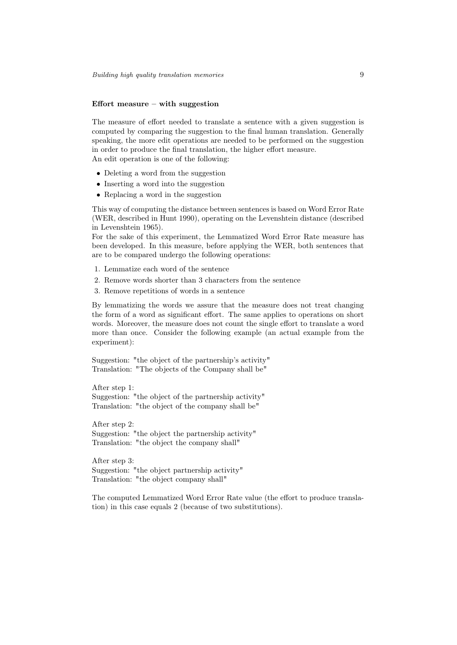#### Effort measure – with suggestion

The measure of effort needed to translate a sentence with a given suggestion is computed by comparing the suggestion to the final human translation. Generally speaking, the more edit operations are needed to be performed on the suggestion in order to produce the final translation, the higher effort measure. An edit operation is one of the following:

- Deleting a word from the suggestion
- Inserting a word into the suggestion
- Replacing a word in the suggestion

This way of computing the distance between sentences is based on Word Error Rate (WER, described in Hunt 1990), operating on the Levenshtein distance (described in Levenshtein 1965).

For the sake of this experiment, the Lemmatized Word Error Rate measure has been developed. In this measure, before applying the WER, both sentences that are to be compared undergo the following operations:

- 1. Lemmatize each word of the sentence
- 2. Remove words shorter than 3 characters from the sentence
- 3. Remove repetitions of words in a sentence

By lemmatizing the words we assure that the measure does not treat changing the form of a word as significant effort. The same applies to operations on short words. Moreover, the measure does not count the single effort to translate a word more than once. Consider the following example (an actual example from the experiment):

Suggestion: "the object of the partnership's activity" Translation: "The objects of the Company shall be"

After step 1: Suggestion: "the object of the partnership activity" Translation: "the object of the company shall be"

After step 2: Suggestion: "the object the partnership activity" Translation: "the object the company shall"

After step 3: Suggestion: "the object partnership activity" Translation: "the object company shall"

The computed Lemmatized Word Error Rate value (the effort to produce translation) in this case equals 2 (because of two substitutions).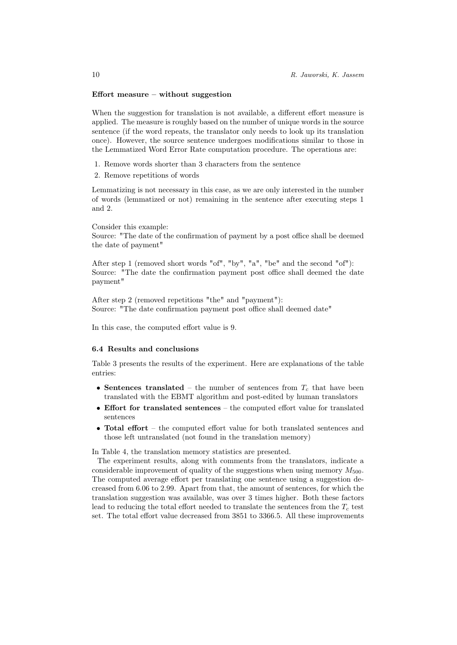#### Effort measure – without suggestion

When the suggestion for translation is not available, a different effort measure is applied. The measure is roughly based on the number of unique words in the source sentence (if the word repeats, the translator only needs to look up its translation once). However, the source sentence undergoes modifications similar to those in the Lemmatized Word Error Rate computation procedure. The operations are:

- 1. Remove words shorter than 3 characters from the sentence
- 2. Remove repetitions of words

Lemmatizing is not necessary in this case, as we are only interested in the number of words (lemmatized or not) remaining in the sentence after executing steps 1 and 2.

Consider this example: Source: "The date of the confirmation of payment by a post office shall be deemed the date of payment"

After step 1 (removed short words "of", "by", "a", "be" and the second "of"): Source: "The date the confirmation payment post office shall deemed the date payment"

After step 2 (removed repetitions "the" and "payment"): Source: "The date confirmation payment post office shall deemed date"

In this case, the computed effort value is 9.

### 6.4 Results and conclusions

Table 3 presents the results of the experiment. Here are explanations of the table entries:

- Sentences translated the number of sentences from  $T_c$  that have been translated with the EBMT algorithm and post-edited by human translators
- Effort for translated sentences the computed effort value for translated sentences
- Total effort the computed effort value for both translated sentences and those left untranslated (not found in the translation memory)

In Table 4, the translation memory statistics are presented.

The experiment results, along with comments from the translators, indicate a considerable improvement of quality of the suggestions when using memory  $M_{500}$ . The computed average effort per translating one sentence using a suggestion decreased from 6.06 to 2.99. Apart from that, the amount of sentences, for which the translation suggestion was available, was over 3 times higher. Both these factors lead to reducing the total effort needed to translate the sentences from the  $T_c$  test set. The total effort value decreased from 3851 to 3366.5. All these improvements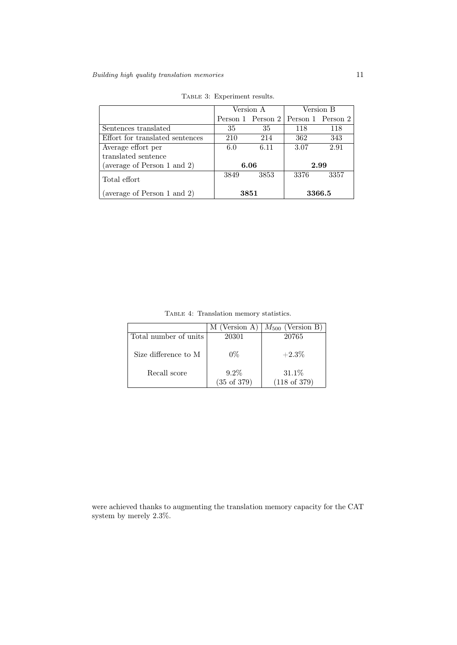|                                 | Version A |                                       | Version B |      |  |
|---------------------------------|-----------|---------------------------------------|-----------|------|--|
|                                 |           | Person 1 Person 2   Person 1 Person 2 |           |      |  |
| Sentences translated            | 35        | 35                                    | 118       | 118  |  |
| Effort for translated sentences | 210       | 214                                   | 362       | 343  |  |
| Average effort per              | 6.0       | 6.11                                  | 3.07      | 2.91 |  |
| translated sentence             |           |                                       |           |      |  |
| (average of Person 1 and 2)     |           | 6.06                                  |           | 2.99 |  |
| Total effort                    | 3849      | 3853                                  | 3376      | 3357 |  |
| (average of Person 1 and 2)     | $3851\,$  |                                       | 3366.5    |      |  |

TABLE 3: Experiment results.

Table 4: Translation memory statistics.

|                       | (Version A)            | (Version $B$ )<br>$M_{500}$ |
|-----------------------|------------------------|-----------------------------|
| Total number of units | 20301                  | 20765                       |
|                       |                        |                             |
| Size difference to M  | $0\%$                  | $+2.3\%$                    |
|                       |                        |                             |
| Recall score          | $9.2\%$                | $31.1\%$                    |
|                       | $(35 \text{ of } 379)$ | $(118 \text{ of } 379)$     |

were achieved thanks to augmenting the translation memory capacity for the CAT system by merely 2.3%.